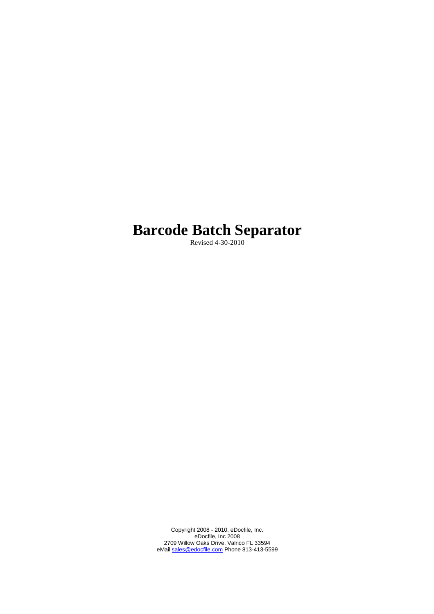# **Barcode Batch Separator**

Revised 4-30-2010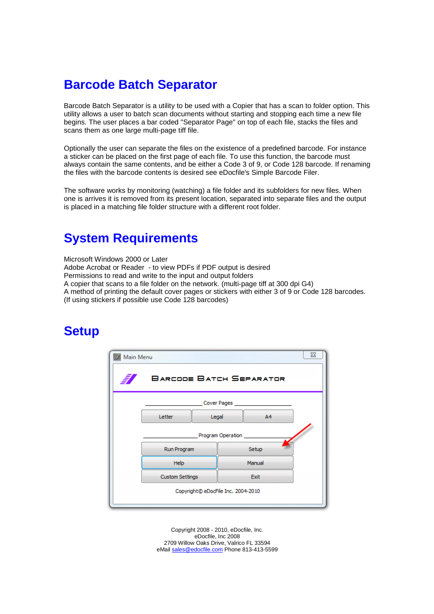# **Barcode Batch Separator**

Barcode Batch Separator is a utility to be used with a Copier that has a scan to folder option. This utility allows a user to batch scan documents without starting and stopping each time a new file begins. The user places a bar coded "Separator Page" on top of each file, stacks the files and scans them as one large multi-page tiff file.

Optionally the user can separate the files on the existence of a predefined barcode. For instance a sticker can be placed on the first page of each file. To use this function, the barcode must always contain the same contents, and be either a Code 3 of 9, or Code 128 barcode. If renaming the files with the barcode contents is desired see eDocfile's Simple Barcode Filer.

The software works by monitoring (watching) a file folder and its subfolders for new files. When one is arrives it is removed from its present location, separated into separate files and the output is placed in a matching file folder structure with a different root folder.

# **System Requirements**

Microsoft Windows 2000 or Later Adobe Acrobat or Reader - to view PDFs if PDF output is desired Permissions to read and write to the input and output folders A copier that scans to a file folder on the network. (multi-page tiff at 300 dpi G4) A method of printing the default cover pages or stickers with either 3 of 9 or Code 128 barcodes. (If using stickers if possible use Code 128 barcodes)

# **Setup**

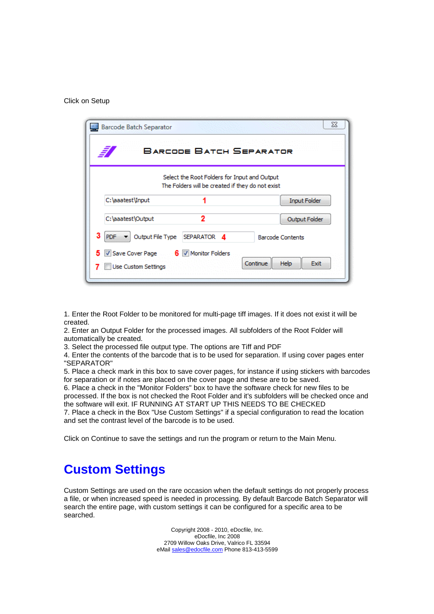#### Click on Setup



1. Enter the Root Folder to be monitored for multi-page tiff images. If it does not exist it will be created.

2. Enter an Output Folder for the processed images. All subfolders of the Root Folder will automatically be created.

3. Select the processed file output type. The options are Tiff and PDF

4. Enter the contents of the barcode that is to be used for separation. If using cover pages enter "SEPARATOR"

5. Place a check mark in this box to save cover pages, for instance if using stickers with barcodes for separation or if notes are placed on the cover page and these are to be saved.

6. Place a check in the "Monitor Folders" box to have the software check for new files to be processed. If the box is not checked the Root Folder and it's subfolders will be checked once and the software will exit. IF RUNNING AT START UP THIS NEEDS TO BE CHECKED

7. Place a check in the Box "Use Custom Settings" if a special configuration to read the location and set the contrast level of the barcode is to be used.

Click on Continue to save the settings and run the program or return to the Main Menu.

#### **Custom Settings**

Custom Settings are used on the rare occasion when the default settings do not properly process a file, or when increased speed is needed in processing. By default Barcode Batch Separator will search the entire page, with custom settings it can be configured for a specific area to be searched.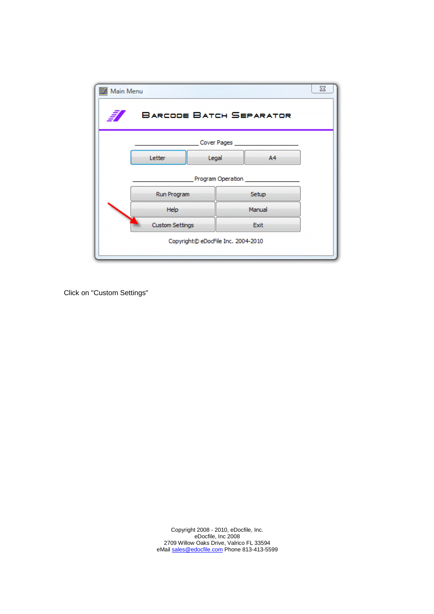| 37<br>Main Menu |                        |                                    | <b>BARCODE BATCH SEPARATOR</b> | $\Sigma$ |
|-----------------|------------------------|------------------------------------|--------------------------------|----------|
|                 |                        | Cover Pages ______                 |                                |          |
|                 | Letter                 | Legal                              | A4                             |          |
|                 |                        | Program Operation                  |                                |          |
|                 | Run Program            |                                    | Setup                          |          |
|                 | Help                   |                                    | Manual                         |          |
|                 | <b>Custom Settings</b> |                                    | Exit                           |          |
|                 |                        | Copyright© eDocFile Inc. 2004-2010 |                                |          |

Click on "Custom Settings"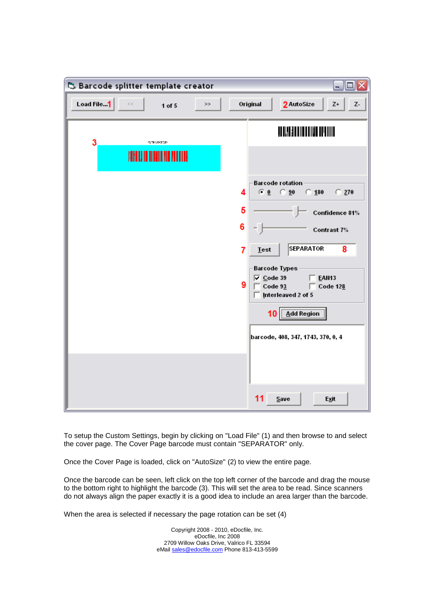| 5. Barcode splitter template creator |                                |                               |    |                                    |                                                         |                                                                                                                                                                            |                                              | EEX                                        |
|--------------------------------------|--------------------------------|-------------------------------|----|------------------------------------|---------------------------------------------------------|----------------------------------------------------------------------------------------------------------------------------------------------------------------------------|----------------------------------------------|--------------------------------------------|
| Load File1                           | $\mathcal{C}_i(\mathcal{C}_i)$ | 1 of $5$                      | >> |                                    | Original                                                | 2 AutoSize                                                                                                                                                                 |                                              | Z+<br>Z-                                   |
| 3                                    |                                | 15-TEAR-STORY                 |    |                                    |                                                         | <b>AN AN BALLAT DE MEDICINAL</b>                                                                                                                                           |                                              |                                            |
|                                      |                                | HANTI II II HANTI AIN FILLINE |    |                                    |                                                         |                                                                                                                                                                            |                                              |                                            |
|                                      |                                |                               |    | 4<br>5<br>6<br>$\overline{7}$<br>9 | $G_0$<br><b>Lest</b><br>$\overline{\vee}$ Code 39<br>10 | <b>Barcode rotation</b><br>$\degree$ 90<br><b>SEPARATOR</b><br><b>Barcode Types</b><br>Code $93$<br>Interleaved 2 of 5<br>Add Region<br>barcode, 408, 347, 1743, 370, 0, 4 | $\degree$ 180<br>Contrast 7%<br><b>EAN13</b> | $C$ 270<br>Confidence 81%<br>8<br>Code 128 |
|                                      |                                |                               |    |                                    | 11                                                      | Save                                                                                                                                                                       | Exit                                         |                                            |

To setup the Custom Settings, begin by clicking on "Load File" (1) and then browse to and select the cover page. The Cover Page barcode must contain "SEPARATOR" only.

Once the Cover Page is loaded, click on "AutoSize" (2) to view the entire page.

Once the barcode can be seen, left click on the top left corner of the barcode and drag the mouse to the bottom right to highlight the barcode (3). This will set the area to be read. Since scanners do not always align the paper exactly it is a good idea to include an area larger than the barcode.

When the area is selected if necessary the page rotation can be set (4)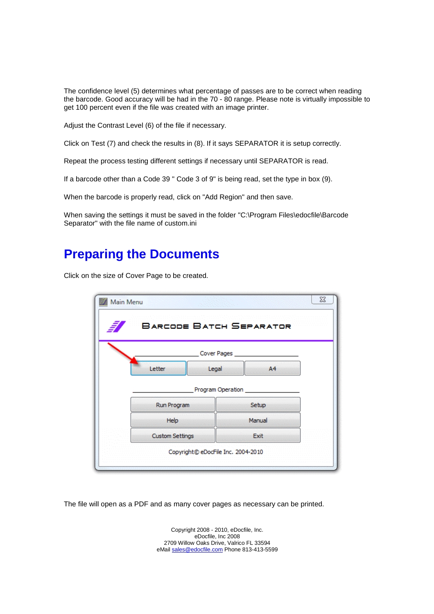The confidence level (5) determines what percentage of passes are to be correct when reading the barcode. Good accuracy will be had in the 70 - 80 range. Please note is virtually impossible to get 100 percent even if the file was created with an image printer.

Adjust the Contrast Level (6) of the file if necessary.

Click on Test (7) and check the results in (8). If it says SEPARATOR it is setup correctly.

Repeat the process testing different settings if necessary until SEPARATOR is read.

If a barcode other than a Code 39 " Code 3 of 9" is being read, set the type in box (9).

When the barcode is properly read, click on "Add Region" and then save.

When saving the settings it must be saved in the folder "C:\Program Files\edocfile\Barcode Separator" with the file name of custom.ini

### **Preparing the Documents**

Click on the size of Cover Page to be created.



The file will open as a PDF and as many cover pages as necessary can be printed.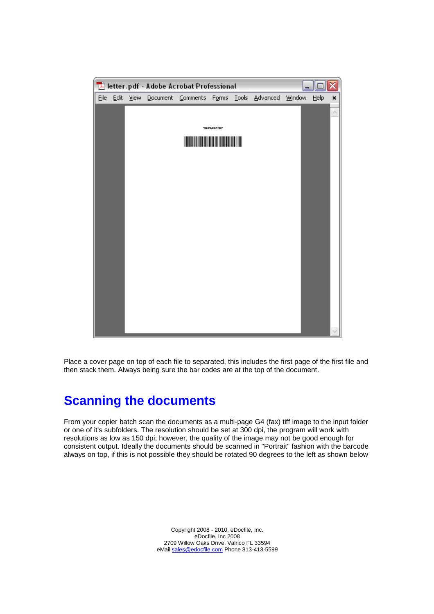

Place a cover page on top of each file to separated, this includes the first page of the first file and then stack them. Always being sure the bar codes are at the top of the document.

# **Scanning the documents**

From your copier batch scan the documents as a multi-page G4 (fax) tiff image to the input folder or one of it's subfolders. The resolution should be set at 300 dpi, the program will work with resolutions as low as 150 dpi; however, the quality of the image may not be good enough for consistent output. Ideally the documents should be scanned in "Portrait" fashion with the barcode always on top, if this is not possible they should be rotated 90 degrees to the left as shown below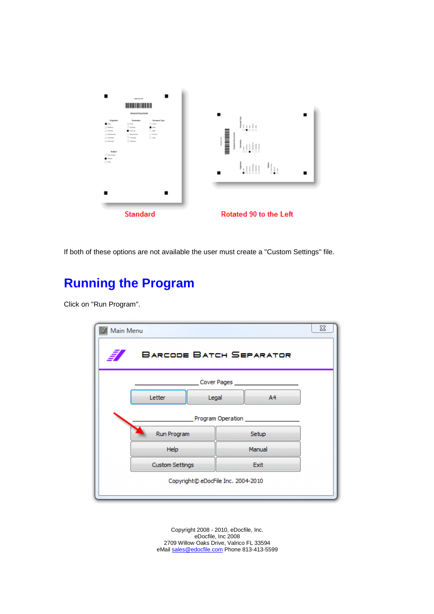

If both of these options are not available the user must create a "Custom Settings" file.

# **Running the Program**

Click on "Run Program".

| <b>BARCODE BATCH SEPARATOR</b> |                     |                |  |
|--------------------------------|---------------------|----------------|--|
|                                | Cover Pages         |                |  |
| Letter                         | Legal               | A <sup>4</sup> |  |
|                                | Program Operation _ |                |  |
| Run Program                    |                     | Setup          |  |
| Help                           |                     | Manual         |  |
| <b>Custom Settings</b>         |                     | Exit           |  |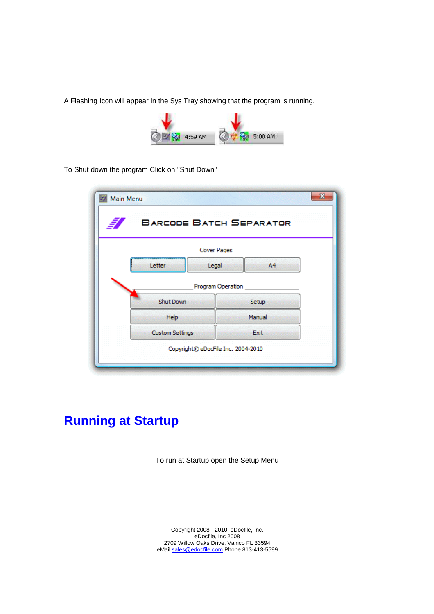A Flashing Icon will appear in the Sys Tray showing that the program is running.



To Shut down the program Click on "Shut Down"

| <b>BARCODE BATCH SEPARATOR</b> |                              |  |
|--------------------------------|------------------------------|--|
|                                | Cover Pages                  |  |
| Legal<br>Letter                | A4                           |  |
| Shut Down                      | Program Operation _<br>Setup |  |
| Help                           | Manual                       |  |
|                                | Exit                         |  |

# **Running at Startup**

To run at Startup open the Setup Menu